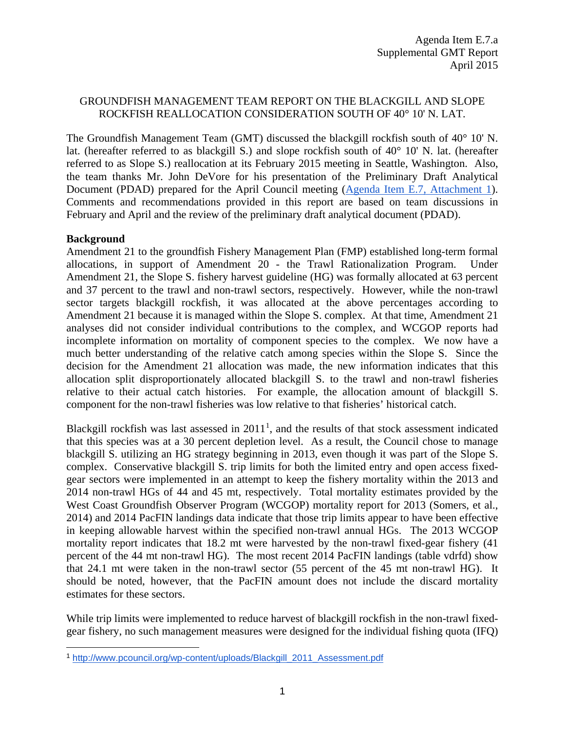### GROUNDFISH MANAGEMENT TEAM REPORT ON THE BLACKGILL AND SLOPE ROCKFISH REALLOCATION CONSIDERATION SOUTH OF 40° 10' N. LAT.

The Groundfish Management Team (GMT) discussed the blackgill rockfish south of 40° 10' N. lat. (hereafter referred to as blackgill S.) and slope rockfish south of 40° 10' N. lat. (hereafter referred to as Slope S.) reallocation at its February 2015 meeting in Seattle, Washington. Also, the team thanks Mr. John DeVore for his presentation of the Preliminary Draft Analytical Document (PDAD) prepared for the April Council meeting [\(Agenda Item E.7, Attachment 1\)](http://www.pcouncil.org/wp-content/uploads/2015/03/E7_Att1_BGill_Allocation_EA_APR2015BB.pdf). Comments and recommendations provided in this report are based on team discussions in February and April and the review of the preliminary draft analytical document (PDAD).

#### **Background**

 $\overline{a}$ 

Amendment 21 to the groundfish Fishery Management Plan (FMP) established long-term formal allocations, in support of Amendment 20 - the Trawl Rationalization Program. Under Amendment 21, the Slope S. fishery harvest guideline (HG) was formally allocated at 63 percent and 37 percent to the trawl and non-trawl sectors, respectively. However, while the non-trawl sector targets blackgill rockfish, it was allocated at the above percentages according to Amendment 21 because it is managed within the Slope S. complex. At that time, Amendment 21 analyses did not consider individual contributions to the complex, and WCGOP reports had incomplete information on mortality of component species to the complex. We now have a much better understanding of the relative catch among species within the Slope S. Since the decision for the Amendment 21 allocation was made, the new information indicates that this allocation split disproportionately allocated blackgill S. to the trawl and non-trawl fisheries relative to their actual catch histories. For example, the allocation amount of blackgill S. component for the non-trawl fisheries was low relative to that fisheries' historical catch.

Blackgill rockfish was last assessed in  $2011<sup>1</sup>$  $2011<sup>1</sup>$  $2011<sup>1</sup>$ , and the results of that stock assessment indicated that this species was at a 30 percent depletion level. As a result, the Council chose to manage blackgill S. utilizing an HG strategy beginning in 2013, even though it was part of the Slope S. complex. Conservative blackgill S. trip limits for both the limited entry and open access fixedgear sectors were implemented in an attempt to keep the fishery mortality within the 2013 and 2014 non-trawl HGs of 44 and 45 mt, respectively. Total mortality estimates provided by the West Coast Groundfish Observer Program (WCGOP) mortality report for 2013 (Somers, et al., 2014) and 2014 PacFIN landings data indicate that those trip limits appear to have been effective in keeping allowable harvest within the specified non-trawl annual HGs. The 2013 WCGOP mortality report indicates that 18.2 mt were harvested by the non-trawl fixed-gear fishery (41 percent of the 44 mt non-trawl HG). The most recent 2014 PacFIN landings (table vdrfd) show that 24.1 mt were taken in the non-trawl sector (55 percent of the 45 mt non-trawl HG). It should be noted, however, that the PacFIN amount does not include the discard mortality estimates for these sectors.

While trip limits were implemented to reduce harvest of blackgill rockfish in the non-trawl fixedgear fishery, no such management measures were designed for the individual fishing quota (IFQ)

<span id="page-0-0"></span><sup>1</sup> [http://www.pcouncil.org/wp-content/uploads/Blackgill\\_2011\\_Assessment.pdf](http://www.pcouncil.org/wp-content/uploads/Blackgill_2011_Assessment.pdf)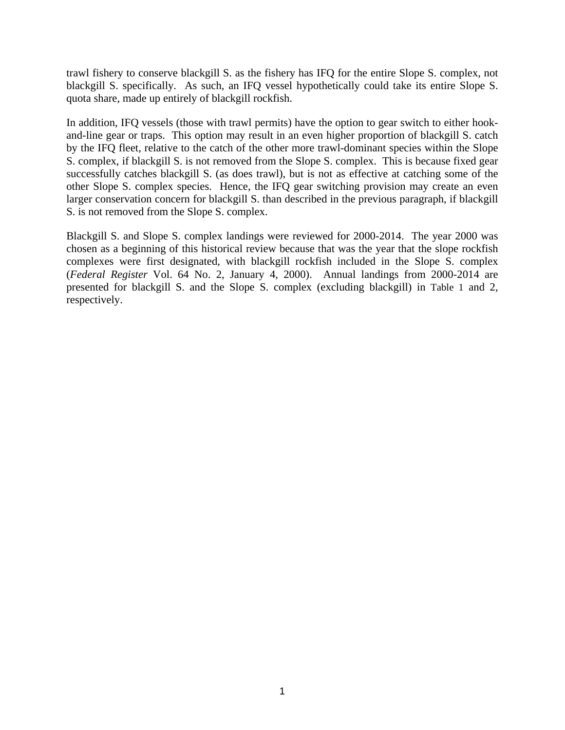trawl fishery to conserve blackgill S. as the fishery has IFQ for the entire Slope S. complex, not blackgill S. specifically. As such, an IFQ vessel hypothetically could take its entire Slope S. quota share, made up entirely of blackgill rockfish.

In addition, IFQ vessels (those with trawl permits) have the option to gear switch to either hookand-line gear or traps. This option may result in an even higher proportion of blackgill S. catch by the IFQ fleet, relative to the catch of the other more trawl-dominant species within the Slope S. complex, if blackgill S. is not removed from the Slope S. complex. This is because fixed gear successfully catches blackgill S. (as does trawl), but is not as effective at catching some of the other Slope S. complex species. Hence, the IFQ gear switching provision may create an even larger conservation concern for blackgill S. than described in the previous paragraph, if blackgill S. is not removed from the Slope S. complex.

Blackgill S. and Slope S. complex landings were reviewed for 2000-2014. The year 2000 was chosen as a beginning of this historical review because that was the year that the slope rockfish complexes were first designated, with blackgill rockfish included in the Slope S. complex (*Federal Register* Vol. 64 No. 2, January 4, 2000). Annual landings from 2000-2014 are presented for blackgill S. and the Slope S. complex (excluding blackgill) in [Table 1](#page-2-0) and 2, respectively.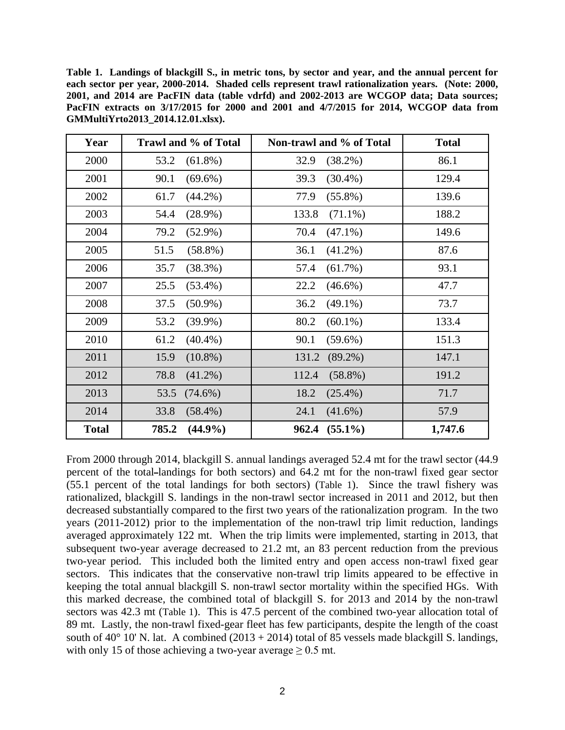<span id="page-2-0"></span>**Table 1. Landings of blackgill S., in metric tons, by sector and year, and the annual percent for each sector per year, 2000-2014. Shaded cells represent trawl rationalization years. (Note: 2000, 2001, and 2014 are PacFIN data (table vdrfd) and 2002-2013 are WCGOP data; Data sources; PacFIN extracts on 3/17/2015 for 2000 and 2001 and 4/7/2015 for 2014, WCGOP data from GMMultiYrto2013\_2014.12.01.xlsx).**

| Year         | Trawl and % of Total | Non-trawl and % of Total | <b>Total</b> |
|--------------|----------------------|--------------------------|--------------|
| 2000         | 53.2<br>$(61.8\%)$   | 32.9<br>$(38.2\%)$       | 86.1         |
| 2001         | 90.1<br>$(69.6\%)$   | $(30.4\%)$<br>39.3       | 129.4        |
| 2002         | $(44.2\%)$<br>61.7   | 77.9<br>$(55.8\%)$       | 139.6        |
| 2003         | 54.4<br>$(28.9\%)$   | 133.8<br>$(71.1\%)$      | 188.2        |
| 2004         | 79.2<br>$(52.9\%)$   | 70.4<br>$(47.1\%)$       | 149.6        |
| 2005         | 51.5<br>$(58.8\%)$   | $(41.2\%)$<br>36.1       | 87.6         |
| 2006         | 35.7<br>(38.3%)      | $(61.7\%)$<br>57.4       | 93.1         |
| 2007         | 25.5<br>$(53.4\%)$   | 22.2<br>$(46.6\%)$       | 47.7         |
| 2008         | 37.5<br>$(50.9\%)$   | 36.2<br>$(49.1\%)$       | 73.7         |
| 2009         | 53.2<br>$(39.9\%)$   | 80.2<br>$(60.1\%)$       | 133.4        |
| 2010         | 61.2<br>$(40.4\%)$   | 90.1<br>$(59.6\%)$       | 151.3        |
| 2011         | 15.9<br>$(10.8\%)$   | 131.2 (89.2%)            | 147.1        |
| 2012         | 78.8<br>$(41.2\%)$   | 112.4<br>$(58.8\%)$      | 191.2        |
| 2013         | 53.5<br>$(74.6\%)$   | 18.2<br>$(25.4\%)$       | 71.7         |
| 2014         | 33.8<br>$(58.4\%)$   | 24.1<br>$(41.6\%)$       | 57.9         |
| <b>Total</b> | $(44.9\%)$<br>785.2  | $962.4$ $(55.1\%)$       | 1,747.6      |

From 2000 through 2014, blackgill S. annual landings averaged 52.4 mt for the trawl sector (44.9 percent of the total landings for both sectors) and 64.2 mt for the non-trawl fixed gear sector (55.1 percent of the total landings for both sectors) [\(Table 1\)](#page-2-0). Since the trawl fishery was rationalized, blackgill S. landings in the non-trawl sector increased in 2011 and 2012, but then decreased substantially compared to the first two years of the rationalization program. In the two years (2011-2012) prior to the implementation of the non-trawl trip limit reduction, landings averaged approximately 122 mt. When the trip limits were implemented, starting in 2013, that subsequent two-year average decreased to 21.2 mt, an 83 percent reduction from the previous two-year period. This included both the limited entry and open access non-trawl fixed gear sectors. This indicates that the conservative non-trawl trip limits appeared to be effective in keeping the total annual blackgill S. non-trawl sector mortality within the specified HGs. With this marked decrease, the combined total of blackgill S. for 2013 and 2014 by the non-trawl sectors was 42.3 mt [\(Table 1\)](#page-2-0). This is 47.5 percent of the combined two-year allocation total of 89 mt. Lastly, the non-trawl fixed-gear fleet has few participants, despite the length of the coast south of 40 $^{\circ}$  10' N. lat. A combined (2013 + 2014) total of 85 vessels made blackgill S. landings, with only 15 of those achieving a two-year average  $\geq 0.5$  mt.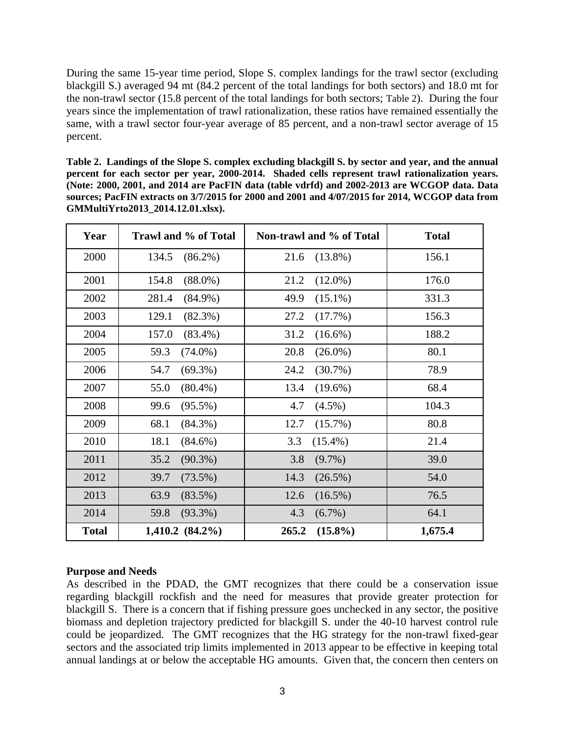During the same 15-year time period, Slope S. complex landings for the trawl sector (excluding blackgill S.) averaged 94 mt (84.2 percent of the total landings for both sectors) and 18.0 mt for the non-trawl sector (15.8 percent of the total landings for both sectors; [Table 2\)](#page-3-0). During the four years since the implementation of trawl rationalization, these ratios have remained essentially the same, with a trawl sector four-year average of 85 percent, and a non-trawl sector average of 15 percent.

<span id="page-3-0"></span>**Table 2. Landings of the Slope S. complex excluding blackgill S. by sector and year, and the annual percent for each sector per year, 2000-2014. Shaded cells represent trawl rationalization years. (Note: 2000, 2001, and 2014 are PacFIN data (table vdrfd) and 2002-2013 are WCGOP data. Data sources; PacFIN extracts on 3/7/2015 for 2000 and 2001 and 4/07/2015 for 2014, WCGOP data from GMMultiYrto2013\_2014.12.01.xlsx).**

| Year         | Trawl and % of Total | Non-trawl and % of Total | <b>Total</b> |
|--------------|----------------------|--------------------------|--------------|
| 2000         | 134.5<br>$(86.2\%)$  | 21.6<br>$(13.8\%)$       | 156.1        |
| 2001         | $(88.0\%)$<br>154.8  | $(12.0\%)$<br>21.2       | 176.0        |
| 2002         | 281.4<br>$(84.9\%)$  | $(15.1\%)$<br>49.9       | 331.3        |
| 2003         | 129.1<br>$(82.3\%)$  | 27.2<br>(17.7%)          | 156.3        |
| 2004         | 157.0<br>$(83.4\%)$  | 31.2<br>$(16.6\%)$       | 188.2        |
| 2005         | 59.3<br>$(74.0\%)$   | 20.8<br>$(26.0\%)$       | 80.1         |
| 2006         | 54.7<br>$(69.3\%)$   | 24.2<br>$(30.7\%)$       | 78.9         |
| 2007         | 55.0<br>$(80.4\%)$   | 13.4<br>$(19.6\%)$       | 68.4         |
| 2008         | 99.6<br>$(95.5\%)$   | 4.7<br>$(4.5\%)$         | 104.3        |
| 2009         | 68.1<br>$(84.3\%)$   | 12.7<br>$(15.7\%)$       | 80.8         |
| 2010         | 18.1<br>$(84.6\%)$   | $(15.4\%)$<br>3.3        | 21.4         |
| 2011         | 35.2<br>$(90.3\%)$   | 3.8<br>$(9.7\%)$         | 39.0         |
| 2012         | 39.7<br>$(73.5\%)$   | 14.3<br>$(26.5\%)$       | 54.0         |
| 2013         | 63.9<br>$(83.5\%)$   | 12.6<br>$(16.5\%)$       | 76.5         |
| 2014         | 59.8<br>$(93.3\%)$   | 4.3<br>$(6.7\%)$         | 64.1         |
| <b>Total</b> | $1,410.2 (84.2\%)$   | 265.2<br>$(15.8\%)$      | 1,675.4      |

# **Purpose and Needs**

As described in the PDAD, the GMT recognizes that there could be a conservation issue regarding blackgill rockfish and the need for measures that provide greater protection for blackgill S. There is a concern that if fishing pressure goes unchecked in any sector, the positive biomass and depletion trajectory predicted for blackgill S. under the 40-10 harvest control rule could be jeopardized. The GMT recognizes that the HG strategy for the non-trawl fixed-gear sectors and the associated trip limits implemented in 2013 appear to be effective in keeping total annual landings at or below the acceptable HG amounts. Given that, the concern then centers on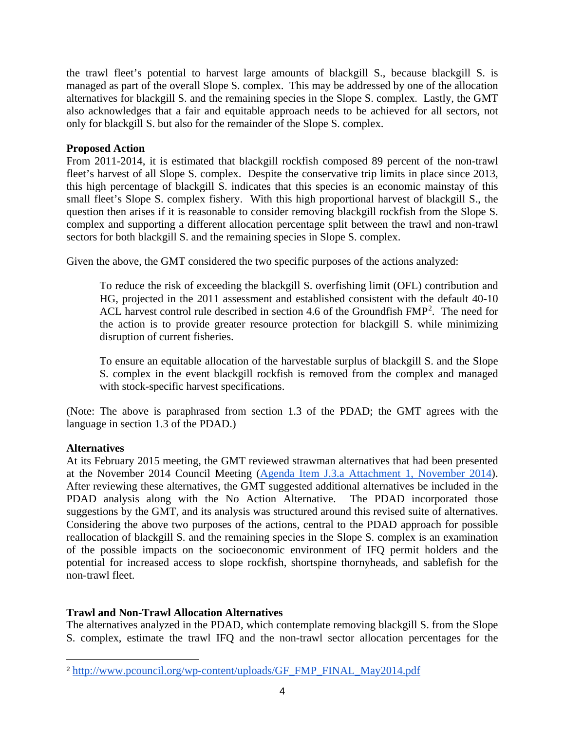the trawl fleet's potential to harvest large amounts of blackgill S., because blackgill S. is managed as part of the overall Slope S. complex. This may be addressed by one of the allocation alternatives for blackgill S. and the remaining species in the Slope S. complex. Lastly, the GMT also acknowledges that a fair and equitable approach needs to be achieved for all sectors, not only for blackgill S. but also for the remainder of the Slope S. complex.

#### **Proposed Action**

From 2011-2014, it is estimated that blackgill rockfish composed 89 percent of the non-trawl fleet's harvest of all Slope S. complex. Despite the conservative trip limits in place since 2013, this high percentage of blackgill S. indicates that this species is an economic mainstay of this small fleet's Slope S. complex fishery. With this high proportional harvest of blackgill S., the question then arises if it is reasonable to consider removing blackgill rockfish from the Slope S. complex and supporting a different allocation percentage split between the trawl and non-trawl sectors for both blackgill S. and the remaining species in Slope S. complex.

Given the above, the GMT considered the two specific purposes of the actions analyzed:

To reduce the risk of exceeding the blackgill S. overfishing limit (OFL) contribution and HG, projected in the 2011 assessment and established consistent with the default 40-10 ACL harvest control rule described in section 4.6 of the Groundfish  $FMP<sup>2</sup>$  $FMP<sup>2</sup>$  $FMP<sup>2</sup>$ . The need for the action is to provide greater resource protection for blackgill S. while minimizing disruption of current fisheries.

To ensure an equitable allocation of the harvestable surplus of blackgill S. and the Slope S. complex in the event blackgill rockfish is removed from the complex and managed with stock-specific harvest specifications.

(Note: The above is paraphrased from section 1.3 of the PDAD; the GMT agrees with the language in section 1.3 of the PDAD.)

# **Alternatives**

 $\overline{a}$ 

At its February 2015 meeting, the GMT reviewed strawman alternatives that had been presented at the November 2014 Council Meeting [\(Agenda Item J.3.a Attachment 1, November 2014\)](http://www.pcouncil.org/wp-content/uploads/J3a_Att1_BlackgillReAllocation_NOV2014BB.pdf). After reviewing these alternatives, the GMT suggested additional alternatives be included in the PDAD analysis along with the No Action Alternative. The PDAD incorporated those suggestions by the GMT, and its analysis was structured around this revised suite of alternatives. Considering the above two purposes of the actions, central to the PDAD approach for possible reallocation of blackgill S. and the remaining species in the Slope S. complex is an examination of the possible impacts on the socioeconomic environment of IFQ permit holders and the potential for increased access to slope rockfish, shortspine thornyheads, and sablefish for the non-trawl fleet.

# **Trawl and Non-Trawl Allocation Alternatives**

The alternatives analyzed in the PDAD, which contemplate removing blackgill S. from the Slope S. complex, estimate the trawl IFQ and the non-trawl sector allocation percentages for the

<span id="page-4-0"></span><sup>2</sup> [http://www.pcouncil.org/wp-content/uploads/GF\\_FMP\\_FINAL\\_May2014.pdf](http://www.pcouncil.org/wp-content/uploads/GF_FMP_FINAL_May2014.pdf)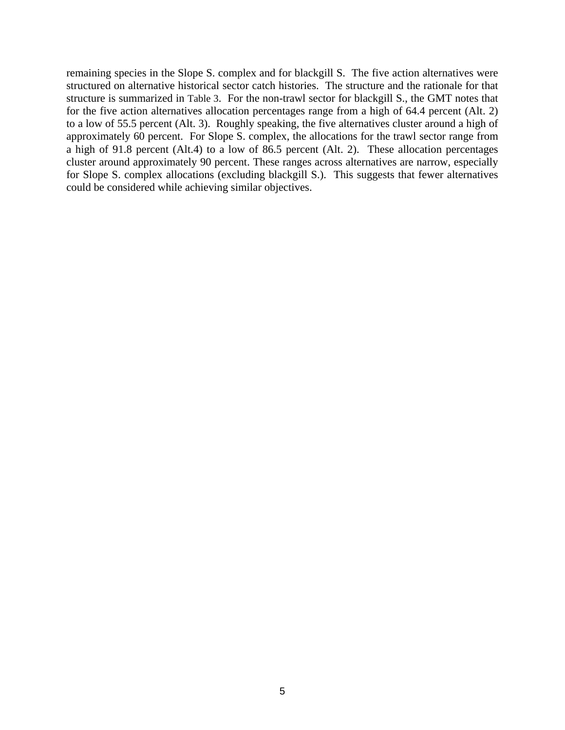remaining species in the Slope S. complex and for blackgill S. The five action alternatives were structured on alternative historical sector catch histories. The structure and the rationale for that structure is summarized in [Table 3.](#page-6-0) For the non-trawl sector for blackgill S., the GMT notes that for the five action alternatives allocation percentages range from a high of 64.4 percent (Alt. 2) to a low of 55.5 percent (Alt. 3). Roughly speaking, the five alternatives cluster around a high of approximately 60 percent. For Slope S. complex, the allocations for the trawl sector range from a high of 91.8 percent (Alt.4) to a low of 86.5 percent (Alt. 2). These allocation percentages cluster around approximately 90 percent. These ranges across alternatives are narrow, especially for Slope S. complex allocations (excluding blackgill S.). This suggests that fewer alternatives could be considered while achieving similar objectives.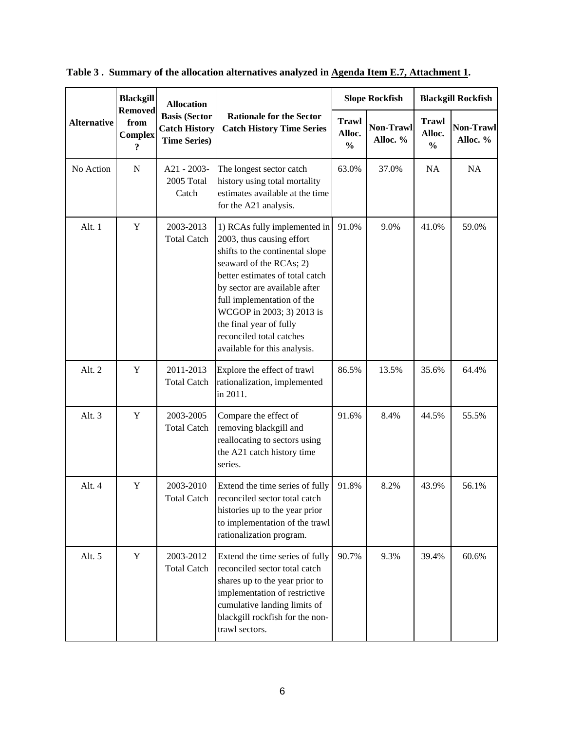| <b>Alternative</b> | <b>Blackgill</b><br><b>Removed</b><br>from<br><b>Complex</b><br>$\overline{\mathbf{r}}$ | <b>Allocation</b><br><b>Basis (Sector</b><br><b>Catch History</b><br><b>Time Series)</b> | <b>Rationale for the Sector</b><br><b>Catch History Time Series</b>                                                                                                                                                                                                                                                                           | <b>Slope Rockfish</b>                   |                       | <b>Blackgill Rockfish</b>               |                              |
|--------------------|-----------------------------------------------------------------------------------------|------------------------------------------------------------------------------------------|-----------------------------------------------------------------------------------------------------------------------------------------------------------------------------------------------------------------------------------------------------------------------------------------------------------------------------------------------|-----------------------------------------|-----------------------|-----------------------------------------|------------------------------|
|                    |                                                                                         |                                                                                          |                                                                                                                                                                                                                                                                                                                                               | <b>Trawl</b><br>Alloc.<br>$\frac{0}{0}$ | Non-Trawl<br>Alloc. % | <b>Trawl</b><br>Alloc.<br>$\frac{0}{0}$ | <b>Non-Trawl</b><br>Alloc. % |
| No Action          | ${\bf N}$                                                                               | A21 - 2003-<br>2005 Total<br>Catch                                                       | The longest sector catch<br>history using total mortality<br>estimates available at the time<br>for the A21 analysis.                                                                                                                                                                                                                         | 63.0%                                   | 37.0%                 | NA                                      | NA                           |
| Alt. 1             | $\mathbf Y$                                                                             | 2003-2013<br><b>Total Catch</b>                                                          | 1) RCAs fully implemented in<br>2003, thus causing effort<br>shifts to the continental slope<br>seaward of the RCAs; 2)<br>better estimates of total catch<br>by sector are available after<br>full implementation of the<br>WCGOP in 2003; 3) 2013 is<br>the final year of fully<br>reconciled total catches<br>available for this analysis. | 91.0%                                   | 9.0%                  | 41.0%                                   | 59.0%                        |
| Alt. 2             | Y                                                                                       | 2011-2013<br><b>Total Catch</b>                                                          | Explore the effect of trawl<br>rationalization, implemented<br>in 2011.                                                                                                                                                                                                                                                                       | 86.5%                                   | 13.5%                 | 35.6%                                   | 64.4%                        |
| Alt. 3             | $\mathbf Y$                                                                             | 2003-2005<br><b>Total Catch</b>                                                          | Compare the effect of<br>removing blackgill and<br>reallocating to sectors using<br>the A21 catch history time<br>series.                                                                                                                                                                                                                     | 91.6%                                   | 8.4%                  | 44.5%                                   | 55.5%                        |
| Alt. 4             | Y                                                                                       | 2003-2010<br>Total Catch                                                                 | Extend the time series of fully<br>reconciled sector total catch<br>histories up to the year prior<br>to implementation of the trawl<br>rationalization program.                                                                                                                                                                              | 91.8%                                   | 8.2%                  | 43.9%                                   | 56.1%                        |
| Alt. 5             | Y                                                                                       | 2003-2012<br><b>Total Catch</b>                                                          | Extend the time series of fully<br>reconciled sector total catch<br>shares up to the year prior to<br>implementation of restrictive<br>cumulative landing limits of<br>blackgill rockfish for the non-<br>trawl sectors.                                                                                                                      | 90.7%                                   | 9.3%                  | 39.4%                                   | 60.6%                        |

<span id="page-6-0"></span>**Table 3 . Summary of the allocation alternatives analyzed in [Agenda Item E.7, Attachment 1.](http://www.pcouncil.org/wp-content/uploads/2015/03/E7_Att1_BGill_Allocation_EA_APR2015BB.pdf)**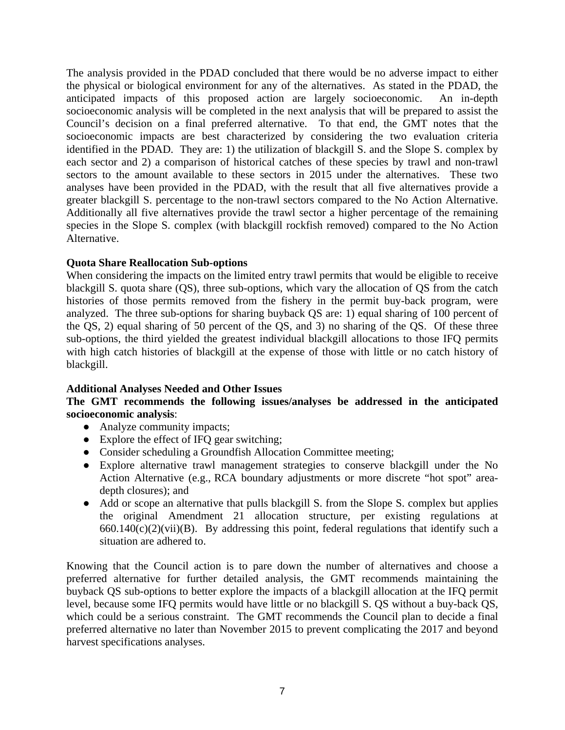The analysis provided in the PDAD concluded that there would be no adverse impact to either the physical or biological environment for any of the alternatives. As stated in the PDAD, the anticipated impacts of this proposed action are largely socioeconomic. An in-depth socioeconomic analysis will be completed in the next analysis that will be prepared to assist the Council's decision on a final preferred alternative. To that end, the GMT notes that the socioeconomic impacts are best characterized by considering the two evaluation criteria identified in the PDAD. They are: 1) the utilization of blackgill S. and the Slope S. complex by each sector and 2) a comparison of historical catches of these species by trawl and non-trawl sectors to the amount available to these sectors in 2015 under the alternatives. These two analyses have been provided in the PDAD, with the result that all five alternatives provide a greater blackgill S. percentage to the non-trawl sectors compared to the No Action Alternative. Additionally all five alternatives provide the trawl sector a higher percentage of the remaining species in the Slope S. complex (with blackgill rockfish removed) compared to the No Action Alternative.

### **Quota Share Reallocation Sub-options**

When considering the impacts on the limited entry trawl permits that would be eligible to receive blackgill S. quota share (QS), three sub-options, which vary the allocation of QS from the catch histories of those permits removed from the fishery in the permit buy-back program, were analyzed. The three sub-options for sharing buyback QS are: 1) equal sharing of 100 percent of the QS, 2) equal sharing of 50 percent of the QS, and 3) no sharing of the QS. Of these three sub-options, the third yielded the greatest individual blackgill allocations to those IFQ permits with high catch histories of blackgill at the expense of those with little or no catch history of blackgill.

#### **Additional Analyses Needed and Other Issues**

### **The GMT recommends the following issues/analyses be addressed in the anticipated socioeconomic analysis**:

- Analyze community impacts;
- Explore the effect of IFQ gear switching;
- Consider scheduling a Groundfish Allocation Committee meeting;
- Explore alternative trawl management strategies to conserve blackgill under the No Action Alternative (e.g., RCA boundary adjustments or more discrete "hot spot" areadepth closures); and
- Add or scope an alternative that pulls blackgill S. from the Slope S. complex but applies the original Amendment 21 allocation structure, per existing regulations at  $660.140(c)(2)(vii)(B)$ . By addressing this point, federal regulations that identify such a situation are adhered to.

Knowing that the Council action is to pare down the number of alternatives and choose a preferred alternative for further detailed analysis, the GMT recommends maintaining the buyback QS sub-options to better explore the impacts of a blackgill allocation at the IFQ permit level, because some IFQ permits would have little or no blackgill S. QS without a buy-back QS, which could be a serious constraint. The GMT recommends the Council plan to decide a final preferred alternative no later than November 2015 to prevent complicating the 2017 and beyond harvest specifications analyses.